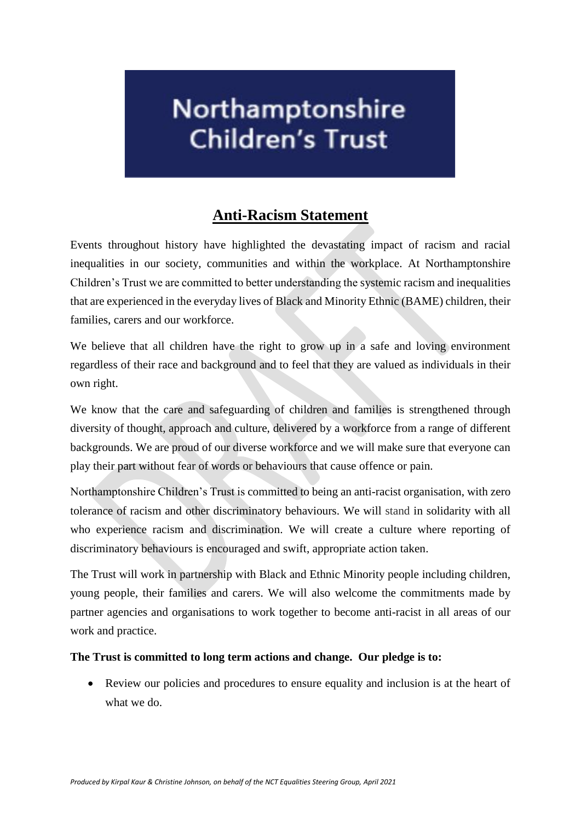## Northamptonshire **Children's Trust**

## **Anti-Racism Statement**

Events throughout history have highlighted the devastating impact of racism and racial inequalities in our society, communities and within the workplace. At Northamptonshire Children's Trust we are committed to better understanding the systemic racism and inequalities that are experienced in the everyday lives of Black and Minority Ethnic (BAME) children, their families, carers and our workforce.

We believe that all children have the right to grow up in a safe and loving environment regardless of their race and background and to feel that they are valued as individuals in their own right.

We know that the care and safeguarding of children and families is strengthened through diversity of thought, approach and culture, delivered by a workforce from a range of different backgrounds. We are proud of our diverse workforce and we will make sure that everyone can play their part without fear of words or behaviours that cause offence or pain.

Northamptonshire Children's Trust is committed to being an anti-racist organisation, with zero tolerance of racism and other discriminatory behaviours. We will stand in solidarity with all who experience racism and discrimination. We will create a culture where reporting of discriminatory behaviours is encouraged and swift, appropriate action taken.

The Trust will work in partnership with Black and Ethnic Minority people including children, young people, their families and carers. We will also welcome the commitments made by partner agencies and organisations to work together to become anti-racist in all areas of our work and practice.

## **The Trust is committed to long term actions and change. Our pledge is to:**

 Review our policies and procedures to ensure equality and inclusion is at the heart of what we do.